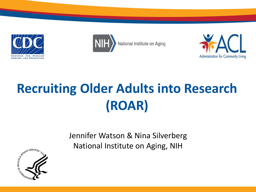





# **Recruiting Older Adults into Research (ROAR)**

Jennifer Watson & Nina Silverberg National Institute on Aging, NIH

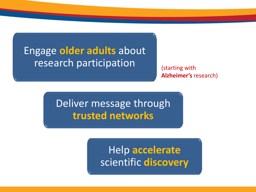### Engage **older adults** about research participation

(starting with **Alzheimer's** research)

Deliver message through **trusted networks**

> Help **accelerate** scientific **discovery**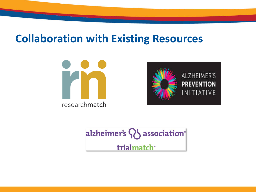#### **Collaboration with Existing Resources**





alzheimer's Q association<sup>®</sup> trialmatch<sup>\*</sup>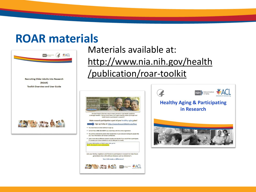#### **ROAR materials**



Materials available at: http://www.nia.nih.gov/health /publication/roar-toolkit



is through research. Did you know there is an urgent need for adults of all ages and health levels to participate in research?

Make research participation a part of your healthy aging plan!

Sign up today at: http://www.ResearchMatch.org/Roar

- . You must have an email address to sign up.
- . Call toll-free 1-866-321-0259 if you need help with the online registration.
- . You will be contacted by email when researchers in your area are looking for people like you. Your information will remain confider
- . Learn more about different research studies and decide if you would like to participate It is always your choice whether or not to take part in a study.

For more information or help in your area, go to: NOTE: this area for local cut Join your family, neighbors and friends to participate in research to help future generations live a life without diseases such as Alzheimer's. You CAN make a difference!



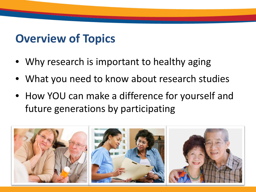## **Overview of Topics**

- Why research is important to healthy aging
- What you need to know about research studies
- How YOU can make a difference for yourself and future generations by participating

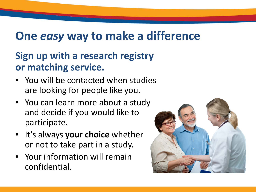# **One** *easy* **way to make a difference**

#### **Sign up with a research registry or matching service.**

- You will be contacted when studies are looking for people like you.
- You can learn more about a study and decide if you would like to participate.
- It's always **your choice** whether or not to take part in a study.
- Your information will remain confidential.

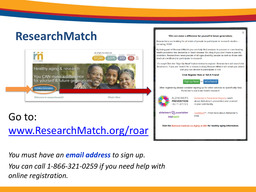# **ResearchMatch**



### Go to: www.ResearchMatch.org/roar

You must have an **email address** to sign up. You can call 1-866-321-0259 if you need help with online registration.

#### YOU can make a difference for yourself & future generations.

Researchers are looking for all kinds of people to participate in research studies including YOU!

By being part of ResearchMatch you can help find answers to prevent or cure leading health problems like dementia or heart disease. It's okay if you don't have a specific condition. Researchers need people of all ages (healthy people as well as those with medical conditions) to participate in research.

It's easy! Click the 'Sign Up Now!' button below to register. Researchers will search for Volunteers. If you are 'match' for a research study ResearchMatch will email you details and you can decide to participate or not.

#### **Click Register Now or Tell A Friend!**



After registering please consider signing up for other services to specifically help Alzheimer's and brain health research.



Alzheimer's Prevention Registry Learn about Alzheimer's prevention and connect in your community.

 $\mathbf{x}$ 

alzheimer's  $Q\}$  association trialmatch<sup>®</sup>

TrialMatch<sup>®</sup> - Find more about Alzheimer's trials

Visit the National Institute on Aging at NIH for healthy aging information.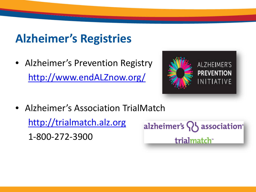# **Alzheimer's Registries**

• Alzheimer's Prevention Registry [http://www.endALZnow.org/](http://www.endalznow.org/)



• Alzheimer's Association TrialMatch [http://trialmatch.alz.org](http://www.alz.org/trialmatch) 1-800-272-3900

alzheimer's  $\{ \}$  association<sup>®</sup> trialmatch<sup>\*</sup>